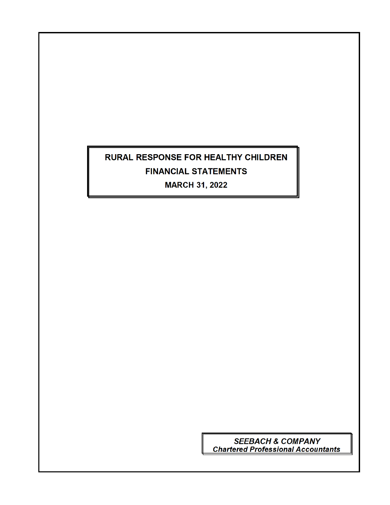# **RURAL RESPONSE FOR HEALTHY CHILDREN FINANCIAL STATEMENTS MARCH 31, 2022**

 *SEEBACH & COMPANY Chartered Professional Accountants*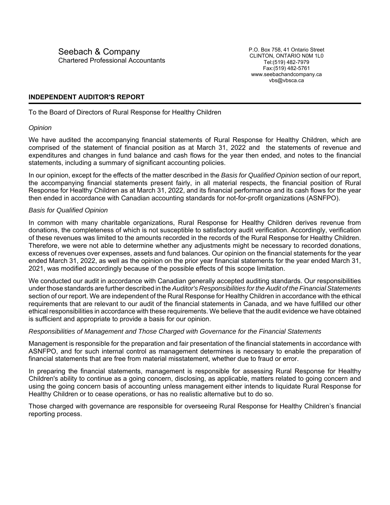Seebach & Company Chartered Professional Accountants P.O. Box 758, 41 Ontario Street CLINTON, ONTARIO N0M 1L0 Tel:(519) 482-7979 Fax:(519) 482-5761 www.seebachandcompany.ca vbs@vbsca.ca

### **INDEPENDENT AUDITOR'S REPORT**

To the Board of Directors of Rural Response for Healthy Children

*Opinion*

We have audited the accompanying financial statements of Rural Response for Healthy Children, which are comprised of the statement of financial position as at March 31, 2022 and the statements of revenue and expenditures and changes in fund balance and cash flows for the year then ended, and notes to the financial statements, including a summary of significant accounting policies.

In our opinion, except for the effects of the matter described in the *Basis for Qualified Opinion* section of our report, the accompanying financial statements present fairly, in all material respects, the financial position of Rural Response for Healthy Children as at March 31, 2022, and its financial performance and its cash flows for the year then ended in accordance with Canadian accounting standards for not-for-profit organizations (ASNFPO).

### *Basis for Qualified Opinion*

In common with many charitable organizations, Rural Response for Healthy Children derives revenue from donations, the completeness of which is not susceptible to satisfactory audit verification. Accordingly, verification of these revenues was limited to the amounts recorded in the records of the Rural Response for Healthy Children. Therefore, we were not able to determine whether any adjustments might be necessary to recorded donations, excess of revenues over expenses, assets and fund balances. Our opinion on the financial statements for the year ended March 31, 2022, as well as the opinion on the prior year financial statements for the year ended March 31, 2021, was modified accordingly because of the possible effects of this scope limitation.

We conducted our audit in accordance with Canadian generally accepted auditing standards. Our responsibilities under those standards are further described in the *Auditor's Responsibilities for the Audit of the Financial Statements* section of our report. We are independent of the Rural Response for Healthy Children in accordance with the ethical requirements that are relevant to our audit of the financial statements in Canada, and we have fulfilled our other ethical responsibilities in accordance with these requirements. We believe that the audit evidence we have obtained is sufficient and appropriate to provide a basis for our opinion.

### *Responsibilities of Management and Those Charged with Governance for the Financial Statements*

Management is responsible for the preparation and fair presentation of the financial statements in accordance with ASNFPO, and for such internal control as management determines is necessary to enable the preparation of financial statements that are free from material misstatement, whether due to fraud or error.

In preparing the financial statements, management is responsible for assessing Rural Response for Healthy Children's ability to continue as a going concern, disclosing, as applicable, matters related to going concern and using the going concern basis of accounting unless management either intends to liquidate Rural Response for Healthy Children or to cease operations, or has no realistic alternative but to do so.

Those charged with governance are responsible for overseeing Rural Response for Healthy Children's financial reporting process.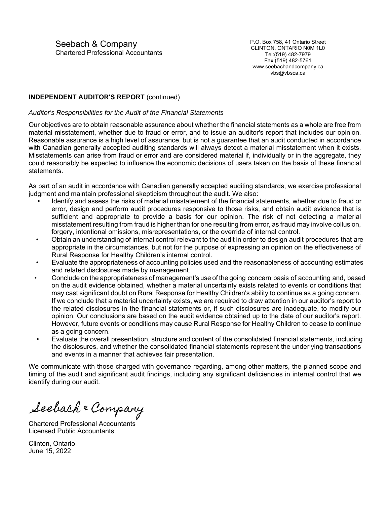Seebach & Company Chartered Professional Accountants P.O. Box 758, 41 Ontario Street CLINTON, ONTARIO N0M 1L0 Tel:(519) 482-7979 Fax:(519) 482-5761 www.seebachandcompany.ca vbs@vbsca.ca

### **INDEPENDENT AUDITOR'S REPORT** (continued)

### *Auditor's Responsibilities for the Audit of the Financial Statements*

Our objectives are to obtain reasonable assurance about whether the financial statements as a whole are free from material misstatement, whether due to fraud or error, and to issue an auditor's report that includes our opinion. Reasonable assurance is a high level of assurance, but is not a guarantee that an audit conducted in accordance with Canadian generally accepted auditing standards will always detect a material misstatement when it exists. Misstatements can arise from fraud or error and are considered material if, individually or in the aggregate, they could reasonably be expected to influence the economic decisions of users taken on the basis of these financial statements.

As part of an audit in accordance with Canadian generally accepted auditing standards, we exercise professional judgment and maintain professional skepticism throughout the audit. We also:

- Identify and assess the risks of material misstatement of the financial statements, whether due to fraud or error, design and perform audit procedures responsive to those risks, and obtain audit evidence that is sufficient and appropriate to provide a basis for our opinion. The risk of not detecting a material misstatement resulting from fraud is higher than for one resulting from error, as fraud may involve collusion, forgery, intentional omissions, misrepresentations, or the override of internal control.
- Obtain an understanding of internal control relevant to the audit in order to design audit procedures that are appropriate in the circumstances, but not for the purpose of expressing an opinion on the effectiveness of Rural Response for Healthy Children's internal control.
- Evaluate the appropriateness of accounting policies used and the reasonableness of accounting estimates and related disclosures made by management.
- Conclude on the appropriateness of management's use of the going concern basis of accounting and, based on the audit evidence obtained, whether a material uncertainty exists related to events or conditions that may cast significant doubt on Rural Response for Healthy Children's ability to continue as a going concern. If we conclude that a material uncertainty exists, we are required to draw attention in our auditor's report to the related disclosures in the financial statements or, if such disclosures are inadequate, to modify our opinion. Our conclusions are based on the audit evidence obtained up to the date of our auditor's report. However, future events or conditions may cause Rural Response for Healthy Children to cease to continue as a going concern.
- Evaluate the overall presentation, structure and content of the consolidated financial statements, including the disclosures, and whether the consolidated financial statements represent the underlying transactions and events in a manner that achieves fair presentation.

We communicate with those charged with governance regarding, among other matters, the planned scope and timing of the audit and significant audit findings, including any significant deficiencies in internal control that we identify during our audit.

Seebach & Company

Chartered Professional Accountants Licensed Public Accountants

Clinton, Ontario June 15, 2022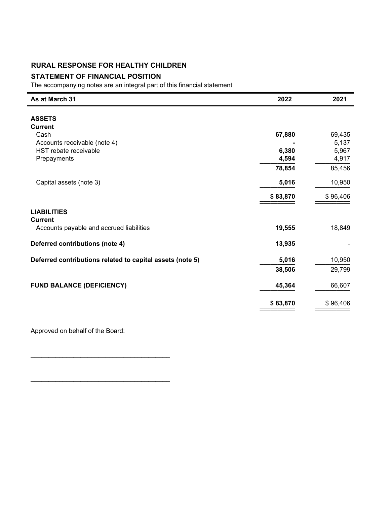## **RURAL RESPONSE FOR HEALTHY CHILDREN**

## **STATEMENT OF FINANCIAL POSITION**

The accompanying notes are an integral part of this financial statement

| As at March 31                                            | 2022     | 2021     |
|-----------------------------------------------------------|----------|----------|
| <b>ASSETS</b>                                             |          |          |
| <b>Current</b>                                            |          |          |
| Cash                                                      | 67,880   | 69,435   |
| Accounts receivable (note 4)                              |          | 5,137    |
| HST rebate receivable                                     | 6,380    | 5,967    |
| Prepayments                                               | 4,594    | 4,917    |
|                                                           | 78,854   | 85,456   |
| Capital assets (note 3)                                   | 5,016    | 10,950   |
|                                                           | \$83,870 | \$96,406 |
| <b>LIABILITIES</b><br><b>Current</b>                      |          |          |
| Accounts payable and accrued liabilities                  | 19,555   | 18,849   |
| Deferred contributions (note 4)                           | 13,935   |          |
| Deferred contributions related to capital assets (note 5) | 5,016    | 10,950   |
|                                                           | 38,506   | 29,799   |
| <b>FUND BALANCE (DEFICIENCY)</b>                          | 45,364   | 66,607   |
|                                                           | \$83,870 | \$96,406 |

Approved on behalf of the Board:

\_\_\_\_\_\_\_\_\_\_\_\_\_\_\_\_\_\_\_\_\_\_\_\_\_\_\_\_\_\_\_\_\_\_\_\_\_\_\_

\_\_\_\_\_\_\_\_\_\_\_\_\_\_\_\_\_\_\_\_\_\_\_\_\_\_\_\_\_\_\_\_\_\_\_\_\_\_\_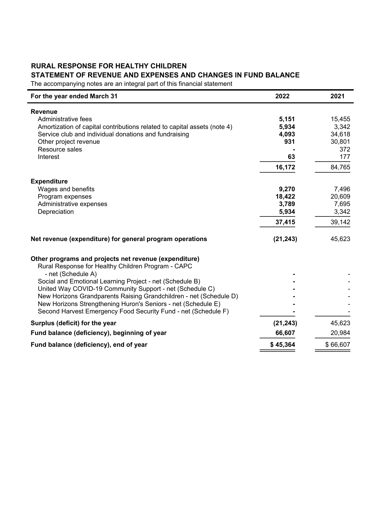## **RURAL RESPONSE FOR HEALTHY CHILDREN STATEMENT OF REVENUE AND EXPENSES AND CHANGES IN FUND BALANCE**

| For the year ended March 31                                                                                 | 2022      | 2021     |
|-------------------------------------------------------------------------------------------------------------|-----------|----------|
| <b>Revenue</b>                                                                                              |           |          |
| Administrative fees                                                                                         | 5,151     | 15,455   |
| Amortization of capital contributions related to capital assets (note 4)                                    | 5,934     | 3,342    |
| Service club and individual donations and fundraising                                                       | 4,093     | 34,618   |
| Other project revenue                                                                                       | 931       | 30,801   |
| Resource sales                                                                                              |           | 372      |
| Interest                                                                                                    | 63        | 177      |
|                                                                                                             | 16,172    | 84,765   |
| <b>Expenditure</b>                                                                                          |           |          |
| Wages and benefits                                                                                          | 9,270     | 7,496    |
| Program expenses                                                                                            | 18,422    | 20,609   |
| Administrative expenses                                                                                     | 3,789     | 7,695    |
| Depreciation                                                                                                | 5,934     | 3,342    |
|                                                                                                             | 37,415    | 39,142   |
| Net revenue (expenditure) for general program operations                                                    | (21, 243) | 45,623   |
| Other programs and projects net revenue (expenditure)<br>Rural Response for Healthy Children Program - CAPC |           |          |
| - net (Schedule A)                                                                                          |           |          |
| Social and Emotional Learning Project - net (Schedule B)                                                    |           |          |
| United Way COVID-19 Community Support - net (Schedule C)                                                    |           |          |
| New Horizons Grandparents Raising Grandchildren - net (Schedule D)                                          |           |          |
| New Horizons Strengthening Huron's Seniors - net (Schedule E)                                               |           |          |
| Second Harvest Emergency Food Security Fund - net (Schedule F)                                              |           |          |
| Surplus (deficit) for the year                                                                              | (21, 243) | 45,623   |
| Fund balance (deficiency), beginning of year                                                                | 66,607    | 20,984   |
| Fund balance (deficiency), end of year                                                                      | \$45,364  | \$66,607 |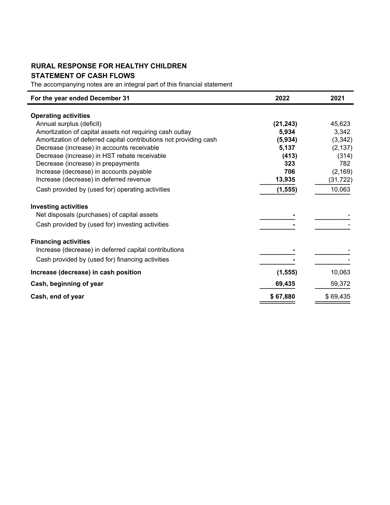## **RURAL RESPONSE FOR HEALTHY CHILDREN**

## **STATEMENT OF CASH FLOWS**

| For the year ended December 31                                    | 2022      | 2021      |
|-------------------------------------------------------------------|-----------|-----------|
| <b>Operating activities</b>                                       |           |           |
| Annual surplus (deficit)                                          | (21, 243) | 45,623    |
| Amortization of capital assets not requiring cash outlay          | 5,934     | 3,342     |
| Amortization of deferred capital contributions not providing cash | (5,934)   | (3, 342)  |
| Decrease (increase) in accounts receivable                        | 5,137     | (2, 137)  |
| Decrease (increase) in HST rebate receivable                      | (413)     | (314)     |
| Decrease (increase) in prepayments                                | 323       | 782       |
| Increase (decrease) in accounts payable                           | 706       | (2, 169)  |
| Increase (decrease) in deferred revenue                           | 13,935    | (31, 722) |
| Cash provided by (used for) operating activities                  | (1, 555)  | 10,063    |
| <b>Investing activities</b>                                       |           |           |
| Net disposals (purchases) of capital assets                       |           |           |
| Cash provided by (used for) investing activities                  |           |           |
| <b>Financing activities</b>                                       |           |           |
| Increase (decrease) in deferred capital contributions             |           |           |
| Cash provided by (used for) financing activities                  |           |           |
| Increase (decrease) in cash position                              | (1, 555)  | 10,063    |
| Cash, beginning of year                                           | 69,435    | 59,372    |
| Cash, end of year                                                 | \$67,880  | \$69,435  |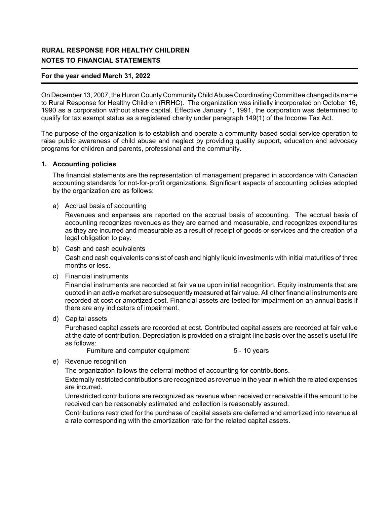## **RURAL RESPONSE FOR HEALTHY CHILDREN NOTES TO FINANCIAL STATEMENTS**

### **For the year ended March 31, 2022**

On December 13, 2007, the Huron County Community Child Abuse Coordinating Committee changed its name to Rural Response for Healthy Children (RRHC). The organization was initially incorporated on October 16, 1990 as a corporation without share capital. Effective January 1, 1991, the corporation was determined to qualify for tax exempt status as a registered charity under paragraph 149(1) of the Income Tax Act.

The purpose of the organization is to establish and operate a community based social service operation to raise public awareness of child abuse and neglect by providing quality support, education and advocacy programs for children and parents, professional and the community.

### **1. Accounting policies**

The financial statements are the representation of management prepared in accordance with Canadian accounting standards for not-for-profit organizations. Significant aspects of accounting policies adopted by the organization are as follows:

a) Accrual basis of accounting

Revenues and expenses are reported on the accrual basis of accounting. The accrual basis of accounting recognizes revenues as they are earned and measurable, and recognizes expenditures as they are incurred and measurable as a result of receipt of goods or services and the creation of a legal obligation to pay.

b) Cash and cash equivalents

Cash and cash equivalents consist of cash and highly liquid investments with initial maturities of three months or less.

c) Financial instruments

Financial instruments are recorded at fair value upon initial recognition. Equity instruments that are quoted in an active market are subsequently measured at fair value. All other financial instruments are recorded at cost or amortized cost. Financial assets are tested for impairment on an annual basis if there are any indicators of impairment.

d) Capital assets

Purchased capital assets are recorded at cost. Contributed capital assets are recorded at fair value at the date of contribution. Depreciation is provided on a straight-line basis over the asset's useful life as follows:

- Furniture and computer equipment 5 10 years
- e) Revenue recognition

The organization follows the deferral method of accounting for contributions.

Externally restricted contributions are recognized as revenue in the year in which the related expenses are incurred.

Unrestricted contributions are recognized as revenue when received or receivable if the amount to be received can be reasonably estimated and collection is reasonably assured.

Contributions restricted for the purchase of capital assets are deferred and amortized into revenue at a rate corresponding with the amortization rate for the related capital assets.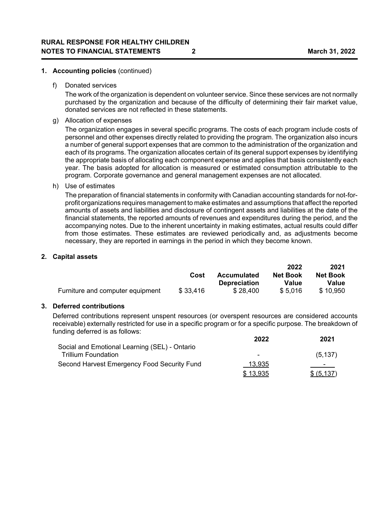### **1. Accounting policies** (continued)

f) Donated services

The work of the organization is dependent on volunteer service. Since these services are not normally purchased by the organization and because of the difficulty of determining their fair market value, donated services are not reflected in these statements.

g) Allocation of expenses

The organization engages in several specific programs. The costs of each program include costs of personnel and other expenses directly related to providing the program. The organization also incurs a number of general support expenses that are common to the administration of the organization and each of its programs. The organization allocates certain of its general support expenses by identifying the appropriate basis of allocating each component expense and applies that basis consistently each year. The basis adopted for allocation is measured or estimated consumption attributable to the program. Corporate governance and general management expenses are not allocated.

h) Use of estimates

The preparation of financial statements in conformity with Canadian accounting standards for not-forprofit organizations requires management to make estimates and assumptions that affect the reported amounts of assets and liabilities and disclosure of contingent assets and liabilities at the date of the financial statements, the reported amounts of revenues and expenditures during the period, and the accompanying notes. Due to the inherent uncertainty in making estimates, actual results could differ from those estimates. These estimates are reviewed periodically and, as adjustments become necessary, they are reported in earnings in the period in which they become known.

### **2. Capital assets**

|                                  |          |                     | 2022            | 2021            |
|----------------------------------|----------|---------------------|-----------------|-----------------|
|                                  | Cost     | <b>Accumulated</b>  | <b>Net Book</b> | <b>Net Book</b> |
|                                  |          | <b>Depreciation</b> | Value           | Value           |
| Furniture and computer equipment | \$33,416 | \$28,400            | \$5.016         | \$10,950        |

### **3. Deferred contributions**

Deferred contributions represent unspent resources (or overspent resources are considered accounts receivable) externally restricted for use in a specific program or for a specific purpose. The breakdown of funding deferred is as follows:

|                                               | 2022                     | 2021                     |
|-----------------------------------------------|--------------------------|--------------------------|
| Social and Emotional Learning (SEL) - Ontario |                          |                          |
| Trillium Foundation                           | $\overline{\phantom{0}}$ | (5, 137)                 |
| Second Harvest Emergency Food Security Fund   | 13,935                   | $\overline{\phantom{0}}$ |
|                                               | \$13,935                 | \$ (5, 137)              |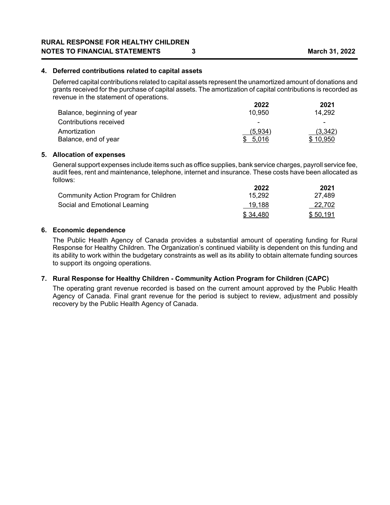### **4. Deferred contributions related to capital assets**

Deferred capital contributions related to capital assets represent the unamortized amount of donations and grants received for the purchase of capital assets. The amortization of capital contributions is recorded as revenue in the statement of operations.

|                            | 2022                     | 2021     |
|----------------------------|--------------------------|----------|
| Balance, beginning of year | 10.950                   | 14.292   |
| Contributions received     | $\overline{\phantom{0}}$ |          |
| Amortization               | (5,934)                  | (3,342)  |
| Balance, end of year       | 5.016                    | \$10.950 |

### **5. Allocation of expenses**

General support expenses include items such as office supplies, bank service charges, payroll service fee, audit fees, rent and maintenance, telephone, internet and insurance. These costs have been allocated as follows:

|                                       | 2022     | 2021     |
|---------------------------------------|----------|----------|
| Community Action Program for Children | 15,292   | 27.489   |
| Social and Emotional Learning         | 19,188   | 22,702   |
|                                       | \$34,480 | \$50,191 |

### **6. Economic dependence**

The Public Health Agency of Canada provides a substantial amount of operating funding for Rural Response for Healthy Children. The Organization's continued viability is dependent on this funding and its ability to work within the budgetary constraints as well as its ability to obtain alternate funding sources to support its ongoing operations.

### **7. Rural Response for Healthy Children - Community Action Program for Children (CAPC)**

The operating grant revenue recorded is based on the current amount approved by the Public Health Agency of Canada. Final grant revenue for the period is subject to review, adjustment and possibly recovery by the Public Health Agency of Canada.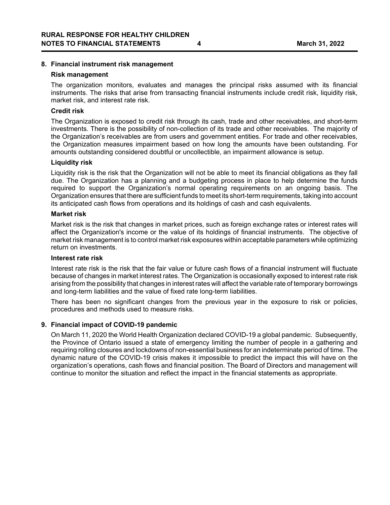### **8. Financial instrument risk management**

### **Risk management**

The organization monitors, evaluates and manages the principal risks assumed with its financial instruments. The risks that arise from transacting financial instruments include credit risk, liquidity risk, market risk, and interest rate risk.

### **Credit risk**

The Organization is exposed to credit risk through its cash, trade and other receivables, and short-term investments. There is the possibility of non-collection of its trade and other receivables. The majority of the Organization's receivables are from users and government entities. For trade and other receivables, the Organization measures impairment based on how long the amounts have been outstanding. For amounts outstanding considered doubtful or uncollectible, an impairment allowance is setup.

### **Liquidity risk**

Liquidity risk is the risk that the Organization will not be able to meet its financial obligations as they fall due. The Organization has a planning and a budgeting process in place to help determine the funds required to support the Organization's normal operating requirements on an ongoing basis. The Organization ensures that there are sufficient funds to meet its short-term requirements, taking into account its anticipated cash flows from operations and its holdings of cash and cash equivalents.

### **Market risk**

Market risk is the risk that changes in market prices, such as foreign exchange rates or interest rates will affect the Organization's income or the value of its holdings of financial instruments. The objective of market risk management is to control market risk exposures within acceptable parameters while optimizing return on investments.

### **Interest rate risk**

Interest rate risk is the risk that the fair value or future cash flows of a financial instrument will fluctuate because of changes in market interest rates. The Organization is occasionally exposed to interest rate risk arising from the possibility that changes in interest rates will affect the variable rate of temporary borrowings and long-term liabilities and the value of fixed rate long-term liabilities.

There has been no significant changes from the previous year in the exposure to risk or policies, procedures and methods used to measure risks.

### **9. Financial impact of COVID-19 pandemic**

On March 11, 2020 the World Health Organization declared COVID-19 a global pandemic. Subsequently, the Province of Ontario issued a state of emergency limiting the number of people in a gathering and requiring rolling closures and lockdowns of non-essential business for an indeterminate period of time. The dynamic nature of the COVID-19 crisis makes it impossible to predict the impact this will have on the organization's operations, cash flows and financial position. The Board of Directors and management will continue to monitor the situation and reflect the impact in the financial statements as appropriate.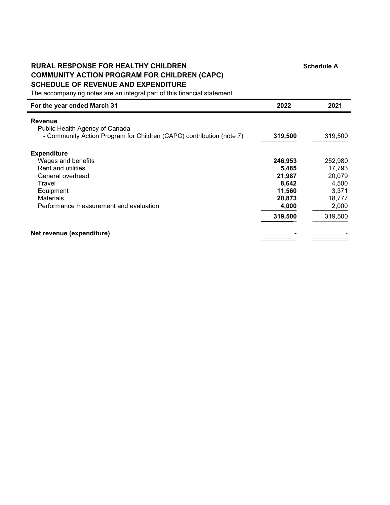## **RURAL RESPONSE FOR HEALTHY CHILDREN SChedule A** Schedule A **COMMUNITY ACTION PROGRAM FOR CHILDREN (CAPC) SCHEDULE OF REVENUE AND EXPENDITURE**

| For the year ended March 31                                          | 2022    | 2021    |
|----------------------------------------------------------------------|---------|---------|
| <b>Revenue</b>                                                       |         |         |
| Public Health Agency of Canada                                       |         |         |
| - Community Action Program for Children (CAPC) contribution (note 7) | 319,500 | 319,500 |
| <b>Expenditure</b>                                                   |         |         |
| Wages and benefits                                                   | 246,953 | 252,980 |
| <b>Rent and utilities</b>                                            | 5,485   | 17,793  |
| General overhead                                                     | 21,987  | 20,079  |
| Travel                                                               | 8,642   | 4,500   |
| Equipment                                                            | 11,560  | 3.371   |
| <b>Materials</b>                                                     | 20,873  | 18,777  |
| Performance measurement and evaluation                               | 4,000   | 2,000   |
|                                                                      | 319,500 | 319,500 |
| Net revenue (expenditure)                                            |         |         |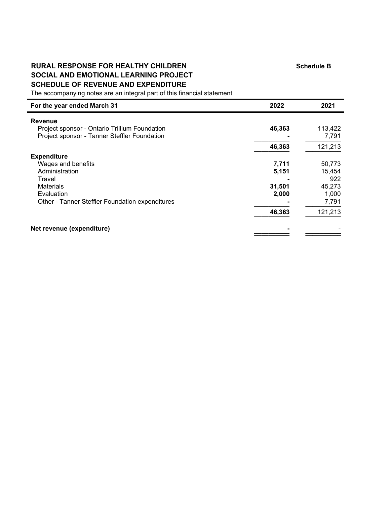## **RURAL RESPONSE FOR HEALTHY CHILDREN SChedule B** Schedule B **SOCIAL AND EMOTIONAL LEARNING PROJECT SCHEDULE OF REVENUE AND EXPENDITURE**

| For the year ended March 31                     | 2022   | 2021    |
|-------------------------------------------------|--------|---------|
| <b>Revenue</b>                                  |        |         |
| Project sponsor - Ontario Trillium Foundation   | 46,363 | 113,422 |
| Project sponsor - Tanner Steffler Foundation    |        | 7,791   |
|                                                 | 46,363 | 121,213 |
| <b>Expenditure</b>                              |        |         |
| Wages and benefits                              | 7,711  | 50,773  |
| Administration                                  | 5,151  | 15,454  |
| Travel                                          |        | 922     |
| <b>Materials</b>                                | 31,501 | 45,273  |
| Evaluation                                      | 2,000  | 1,000   |
| Other - Tanner Steffler Foundation expenditures |        | 7,791   |
|                                                 | 46,363 | 121,213 |
| Net revenue (expenditure)                       |        |         |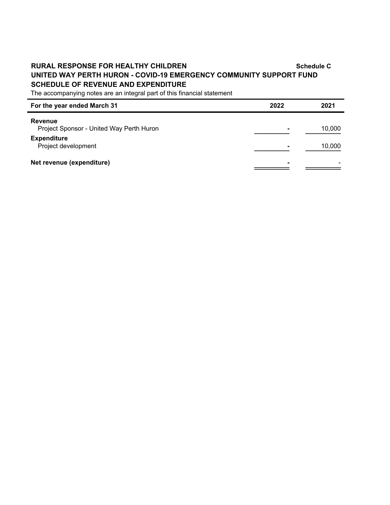## **RURAL RESPONSE FOR HEALTHY CHILDREN SChedule C** Schedule C **UNITED WAY PERTH HURON - COVID-19 EMERGENCY COMMUNITY SUPPORT FUND SCHEDULE OF REVENUE AND EXPENDITURE**

| For the year ended March 31              | 2022 | 2021                     |
|------------------------------------------|------|--------------------------|
| <b>Revenue</b>                           |      |                          |
| Project Sponsor - United Way Perth Huron |      | 10,000                   |
| <b>Expenditure</b>                       |      |                          |
| Project development                      | -    | 10,000                   |
| Net revenue (expenditure)                | ۰    | $\overline{\phantom{0}}$ |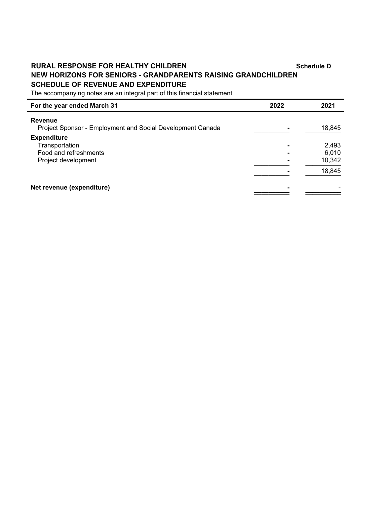## **RURAL RESPONSE FOR HEALTHY CHILDREN SChedule D** Schedule D **NEW HORIZONS FOR SENIORS - GRANDPARENTS RAISING GRANDCHILDREN SCHEDULE OF REVENUE AND EXPENDITURE**

| For the year ended March 31                                           | 2022 | 2021             |
|-----------------------------------------------------------------------|------|------------------|
| Revenue<br>Project Sponsor - Employment and Social Development Canada |      | 18,845           |
| <b>Expenditure</b><br>Transportation<br>Food and refreshments         |      | 2,493<br>6,010   |
| Project development                                                   |      | 10,342<br>18,845 |
| Net revenue (expenditure)                                             |      |                  |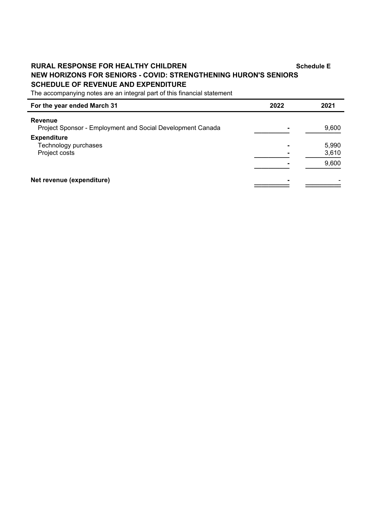## **RURAL RESPONSE FOR HEALTHY CHILDREN SChedule E NEW HORIZONS FOR SENIORS - COVID: STRENGTHENING HURON'S SENIORS SCHEDULE OF REVENUE AND EXPENDITURE**

| For the year ended March 31                                           | 2022 | 2021           |
|-----------------------------------------------------------------------|------|----------------|
| Revenue<br>Project Sponsor - Employment and Social Development Canada | -    | 9,600          |
| <b>Expenditure</b><br>Technology purchases<br>Project costs           |      | 5,990<br>3,610 |
|                                                                       |      | 9,600          |
| Net revenue (expenditure)                                             |      |                |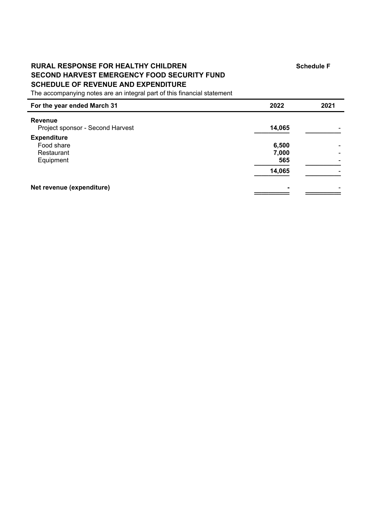## **RURAL RESPONSE FOR HEALTHY CHILDREN SChedule F Schedule F SECOND HARVEST EMERGENCY FOOD SECURITY FUND SCHEDULE OF REVENUE AND EXPENDITURE**

| For the year ended March 31                 | 2022   | 2021                     |
|---------------------------------------------|--------|--------------------------|
| Revenue<br>Project sponsor - Second Harvest | 14,065 |                          |
| <b>Expenditure</b>                          |        |                          |
| Food share                                  | 6,500  |                          |
| Restaurant                                  | 7,000  | $\overline{\phantom{0}}$ |
| Equipment                                   | 565    | $\overline{\phantom{0}}$ |
|                                             | 14,065 |                          |
|                                             |        |                          |
| Net revenue (expenditure)                   | ۰      |                          |